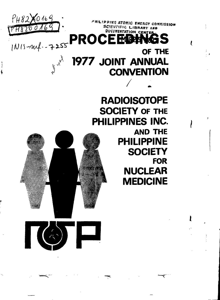

(A) E

ŧ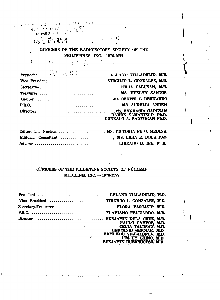#### **GEORGIA** A.  $\mathbf{F}$

## OFFICEES OF THE RADIOISOTOPE SOCIETY OF THE PHILIPPINES, INC.—1976-1977

 $\mathbb{Z}^{\mathbb{Z}^d}$  ,  $\mathbb{Z}^d$ 

 $\label{eq:2} \frac{1}{\sqrt{2}}\frac{1}{\sqrt{2}}\frac{1}{\sqrt{2}}\frac{1}{\sqrt{2}}\,.$ **í i. :'. »r**

**. . - • • ) - r '•••l i -','• ' ..í'" <sup>l</sup> <sup>i</sup> '**

**HEAT THE RITERS** 

 $\sim 1$ 

**MARKED MOLTAN** 

| President William M.D. LELAND VILLADOLID, M.D. |                                                     |
|------------------------------------------------|-----------------------------------------------------|
|                                                |                                                     |
|                                                |                                                     |
|                                                |                                                     |
|                                                |                                                     |
|                                                |                                                     |
|                                                | RAMON SAMANIEGO, Ph.D.<br>GONZALO A. BANTUGAN Ph.D. |

| Editor, The Nucleus  MS. VICTORIA FE O. MEDINA |  |  |
|------------------------------------------------|--|--|
| Editorial Consultant  MS. LILIA R. DELA PAZ    |  |  |
|                                                |  |  |

## OFFICERS OF THE PHILIPPINE SOCIETY OF NUCLEAR MEDICINE, INC. —1976-1977

| Vice President  VIRGILIO L. GONZALES, M.D. |                                                                                                                                                  |
|--------------------------------------------|--------------------------------------------------------------------------------------------------------------------------------------------------|
| Secretary-Treasurer  FLORA PASCASIO, M.D.  |                                                                                                                                                  |
|                                            |                                                                                                                                                  |
|                                            | PAULO CAMPOS, M.D.<br>CELIA TALUSAN, M.D.<br>HERMINIO GERMAR, M.D.<br>EDMUNDO VILLENCIA (M.D.<br>LIM UY CHING, M.D.<br>BENJAMIN BUENSUCESO, M.D. |

**í \**

ı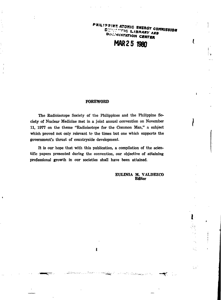PHILIPPINE ATOMIC ENERGY COMMISSION SHIP TING LIBRARY AND DUNINGNTATION CENTER

l

٠.,

W,

is,

 $\sqrt{2}$ 

## **MAR25Í980**

#### **FOREWORD**

The Radioisotope Society of the Philippines and the Philippine Society of Nuclear Medicine met in a joint annual convention on November 11, 1977 on the theme "Radioisotope for the Common Man," a subject which proved not only relevant to the times but one which supports the government's thrust of countryside development.

It is our hope that with this publication, a compilation of the scientific papers presented during the convention, our objective of attaining professional growth in our societies shall have been attained.

 $\mathbf i$ 

 $\overline{\pi}$ 

**EULINJA M. VALDEZCO Editor**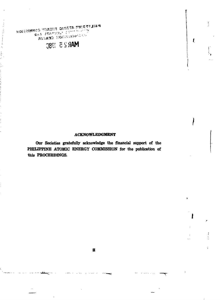**WOISSINNOO YOREST OINGTA PMISSION CONDRENT OUT!** NE TRACETE L'ANTERNATION

ţ.

# **S39 & SS60**

#### **ACKNOWLEDGMENT**

 $\overline{I}$ 

**Our Societies gratefully acknowledge the financial support of the PHILIPPINE ATOMIC ENERGY COMMISSION for the publication of this PROCEEDINGS.**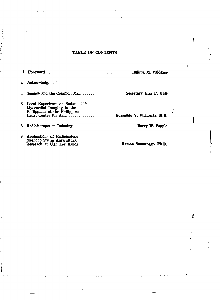## TABLE OF CONTENTS

I

I

 $\vec{r}_\mathrm{c}$ 

| ü. | Acknowledgment                                                                                                                                       |
|----|------------------------------------------------------------------------------------------------------------------------------------------------------|
|    | Science and the Common Man  Secretary Blas F. Ople                                                                                                   |
| 3. | Local Experience on Radionuclide<br>Myocardial Imaging in the<br>Philippines at the Philippine<br>Heart Center for Asia  Edmundo V. Villacorta, M.D. |
| 6. |                                                                                                                                                      |
| 9. | Applications of Radioisotope<br>Methodology in Agricultural<br>Research at U.P. Los Baños  Ramon Samaniego, Ph.D.                                    |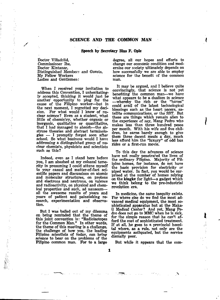#### **SCIENCE AND THE COMMON MAN**

#### **Speech by Secretary Bias F. Ople**

Doctor Villadolid, Commissioner Ibe, Doctor Kintanar, Distinguished Members and Guests, My Fellow Workers Ladies and Gentlemen:

When I received your invitation to address this Convention, I unhesitatingly accepted, thinking it would just be another opportunity to plug for the cause of the Filipino worker—but in the next moment, I regretted my decision. For what would I know of nuclear science? Even as a student, what little of chemistry, whether organic or inorganic, qualitative or quantitative, that I had managed to absorb—the abstruse theories and abstract terminologies — I promptly forgot soon after school. So what business would I have addressing a distinguished group of nuclear chemists, physicists and scientists such as this?

Indeed, even as I stand here before you, I am abashed at my colossal temerity in presuming I could attune myself to your casual and matter-of-fact scientific papers and discussions on atomic and molecular structures, on protons and electrons and neutrons, on valence and radioactivity, on physical and chemical properties and such, ad nauseum all the awesome results of years and years of patient and painstaking research, experimentation and observation.

But I was bailed out. of my dilemma on being reminded that the theme of this joint convention is: "Radioisotopes for the Common Man." In other words, the theme of this meeting is a challenge, the challenge of how you, the leading Filipino scientists of today, can bring science to bear on the problems of the Filipino common man. For to a large

degree, all our hopes and efforts to change our economic condition and modernize our society ultimately depends on how successfully we are able to employ science for the benefit of the common man.

It may be argued, and I believe quite convincingly, that science is not yet benefiting the common man—we have what appears to be a dualism in science —whereby the rich or the "haves" could avail of the latest technological blessings such as the heart pacers, satellite communications, or the SST. But these are things which remain alien to the experience of say, Mang Pedro who makes less than three hundred pesos per month. With his wife and five children, he earns barely enough to give them three decent meals a day, much less afford him the "luxury" of odd bus rides or a first-run movie.

To this day the advances of science have not really penetrated the lives of the ordinary Filipino. Majority of Filipino homes, for instance, do not have the basic provision for electricity or piped water. In fact, you would be surprised at the number of homes relying on the **kingke** for light—a gadget which we think belong to the pre-industrial revolution era.

In medicine, the same inequity exists. For where else do we find the most advanced medical equipment, the most sophisticated apparatus but at the Makati Medical Center? And yet, Mang Pedro does not go to MMC when he is sick, for the simple reason that he can't afford the cost of sophisticated treatment. If at all, he goes to a provincial hospital where, as a rule, not only are the equipments antiquated, but the service dismally poor.

But while it appears that the com-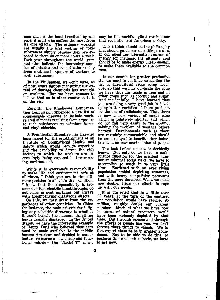mon man is the least benefited by science, it is he who suffers the most from its dire effects. The ordinary workers are usually the first victims of toxic substances simply because they are exposed to them 40 or more hours a week. Each year throughout the world, grim statistics indicate the increasing number of injuries and even deaths arising from continued exposure of workers to such substances.

 $\frac{1}{k}$ 

ķ

In the Philippines, we don't have, as of now, exact figures measuring the extent of damage chemicals has wrought on workers. But we have reasons to believe that as in other countries, it is on the rise.

Recently, the Employees' Compensation Commission appended a new list of compensable diseases to include workrelated ailments resulting from exposure to such substances as cadmium fumes and vinyl chloride.

A Presidential Directive has likewise been issued for the establishment of an Institute of Occupational Health and Safetv which would provide expertise and the capability to detect the risk factors to which the workers are increasingly being exposed in the working environment.

While it is everyone's responsibility to make life and environment safe at all times, I think you are in the ultimate position to alleviate this condition. I know that the responsibility is tremendous for scientific breakthroughs do not come in neat packages but always with accompanying disastrous effects.

On this, we may draw from the experiences of other countries. In China for instance, the main criteria for judging any scientific discovery is whether it would benefit the masses. Anything less is casually discarded. In the United States, we have the interesting example of Henry Ford who believed that cars must be made available to the middle income American and decided to manufacture en masse a new cheap and functional vehicle — the "Model T" which

 $\cdot$ 2

may be the world's ugliest car but one that revolutionized American society.

ι

This I think should be the philosophy that should guide our scientific pursuits. In our quest for alternative sources of energy for instance, the ultimate goal should be to make energy cheap enough to make them available to the common man.

In our search for greater productivity, we need to continue expanding the list of agricultural crops being developed so that we may duplicate the coup we have thus far made in rice and in other crops such as coconut and sugar. And incidentally, I have learned that you are doing a very good job in developing better varieties of these products by the use of radioisotopes. That there is now a new variety of sugar cane which is relatively shorter and which do not fall very easily to the ground, solving the problem of wastage before harvest. Developments such as these are certainly commendable and should be encourmaged to benefit other industries and an increased number of people.

The task before us now is decidedly<br>heavy. Not only do we have to make Not only do we have to make science function for the greatest number at minimal social risks, we have to accomplish so much in so very little time. Burdened with an ever rising population amidst depleting resources, and with heavy competitive pressures from the more developed West, we must now double, triple our efforts to cope up with our needs.

It is projected that in a little over 20 years, at the turn of the century, our population would have reached 85 million, roughly double our current number. Much of what we have now in terms of natural resources, would have been seriously depleted by that time. But through science and through the efforts of people like you. we don't foresee these things to vanish. We in fact expect them to be in greater abundance. But to be able to do this; to perform this economic miracle, we have to act now.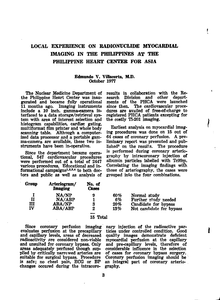## **LOCAL EXPERIENCE ON RADIONUCLIDE MYOCARDIAL IMAGING IN THE PHILIPPINES AT THE PHILIPPINE HEART CENTER FOR ASIA**

#### **Edmundo** V. **VUlacorta, M.D.** October 1977

The Nuclear Medicine Department of the Philippine Heart Center was inaugurated and became fully operational 11 months ago. Imaging instruments include a 10 inch, gamma-camera interfaced to a data storage/retrieval system with area of interest selection and histogram capabilities, cardiac gating, multiformat film printer and whole body scanning table. Although a computerized data processor and a portable gamma-camera are available, these two instruments have been in-operative.

Since the department became operational, 547 cardiovascular procedures were performed out of a total of 2447 various procedures. Educational and informational campaigns<sup>1,2,3,4</sup> to both doctors and public as well as analysis of

results in collaboration with the Research Division and other departments of the PHCA were launched<br>since then. The cardiovascular proce-The cardiovascular procedures are availed of free-of-charge to registered PHCA patients excepting for the costly Tl-201 imaging.

ţ

t,

Earliest analysis on myocardial imaging procedures was done on 15 out of 64 cases of coronary perfusion. A preliminary report was presented and pub $l$  ished<sup> $\delta$ </sup> on the results. The procedure is performed during coronary arteriography by intracoronary injection of albumin particles labelled with Tc99m. Correlating the imaging findings wiíh those of arteriography, the cases were grouped into the four combinations.

| Group | Arteriogram/<br><b>Imaging</b> | No. of<br>Cases |     |                          |
|-------|--------------------------------|-----------------|-----|--------------------------|
|       | NA/NP                          | 9               | 60% | Normal study             |
| П     | NA/ABP                         |                 | 6%  | Further study needed     |
| ш     | <b>ABA/NP</b>                  | 3               | 20% | Candidate for bypass     |
| IV    | ABA/ABP                        | 2               | 13% | Not candidate for bypass |

#### 15 Total

Since coronary perfusion imaging evaluates perfusion at the precapillary and capillary levels, areas of decreased radioactivity are considered non-viable and unsuited for coronary bypass. Only areas adequately perfused though supplied by critically narrowed arteries are suitable for surgical bypass. Procedure is safe; no chest pain, ECG or BP changes occured during the intracoro-

nary injection of the radioactive particles under controlled condition. Good quality images demonstrate deficient myocardial perfusion at the capillary and pre-capillary levels, therefore of considerable influence in the selection of cases for coronary bypass surgery. Coronary perfusion imaging should be an integral part of coronary arteriography.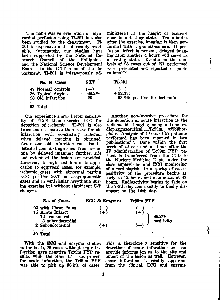The non-invasive evaluation of myocardial perfusion using Tl-201 has also been studied by the department. 201 is expensive and not readily availbeen supported by the National Research Council of the Philippines and the National Science Development Board. In the GXT room of the department, Tl-201 is intravenously ad-

ministered at the height of exercise done in a fasting state. Ten minutes after the exercise, imaging is then performed with a gamma-camera. If perfusion defect is present, delayed imaging after another 4 hours will serve as a resting state. Results on the analysis of 93 cases out of 171 performed were presented and reported in publi- $\arccos 6,7,8$ .

| No. of Cases                                                 | <b>GXT</b>             |
|--------------------------------------------------------------|------------------------|
| 47 Normal controls<br>26 Typical Angina<br>20 Old infarction | $(-)$<br>+ 69.2%<br>25 |
| 93 Total                                                     |                        |

Our experience shows better sensitivity of Tl-201 than exercise ECG for detection of ischemia. twice more sensitive than ECG for old infarction with co-existing ischemia when delayed imaging is obtained. Acute and old infarction can also be detected and distinguished from ischemia by delayed imaging; further, site and extent of the lesion are provided. However, its high cost limits its application to equivocal cases, for example, ischemic cases with abnormal resting ECG, positive GXT but assymptomatic cases and in ventricular arrythmia during exercise but without significant S-T changes.

Tl-201  $(-)$  $+92.3%$ 53.8% positive for ischemia

Another non-invasive procedure for the detection of acute infarction is the radionuclide imaging using a bone radiopharmaceutical, Tc99m pyrophosphate. Analysis of  $40$  out of  $57$  patients performed has been reported in two publications<sup>6,9</sup>. Done within the first week of attack and an hour after the IV administration of Tc99m PYP, patient is transferred from the CCU to the Nuclear Medicine Dept. under the close supervision and ECG monitoring of a cardiologist. In majority of cases, positivity of the procedure begins as early as 12 hours and maximizes at 48 hours. Radioactivity begins to fade on the 7-8th day and usually to finally disappear on the 14th day.



With the ECG and enzyme studies as the basis, 23 cases without acute infarction gave negative Tc99m PYP results, while the other 17 cases proven for acute infarction, the Tc99m PYP was able to pick up 88.2% of cases.

This is therefore a sensitive for the detection of acute infarction and can provide information as to the site and extent of the lesion as well. However, acute infarction is readily apparent from the clinical, ECG and enzyme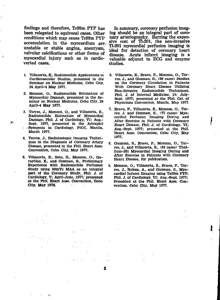findings and therefore, Tc99m PYP has been relegated to equivocal cases. Other conditions which may cause Tc99m PYP accumulation in the myocardium are-, unstable or stable angina, aneurysm, valvular calcifications or other forms of myocardial injury such as in cardioverted cases.

 $\overline{1}$ 

 $\mathcal{L}$ 

- **1. Villacorta, E., Radionuclide Applications in Cardiovascular Studies, presented in the Seminar on Nuclear Medicine, Cebu City, 24 April-4 May 1977.**
- **2. Monzon, O., Radionuclide Estimation of Myocardial Damage, presented in the Seminar on Nuclear Medicine, Cebu City, 24 April-4 May 1977.**
- **3. Torres, J., Monzon, O., and Villacorta, E., Radionuclide Estimation of Myocardial Damage, Phil. J. of Cardiology, VI; Aug.- Sept. 1977, presented in the Astraphil -Symposia in Cardiology, PICC, Manila, March 1977.**
- **4. Torres, J., Radioisotopic Imaging Techniques in the Diagnosis of Coronary Artery Disease, presented in the Phil. Heart Asso. Convention, Cebu City, May 1977.**
- **5. Villacorta, E., Soto, B., Monzon, O., Garayblas, E., and Guzman; S., Preliminary Experience with Radionuclide Perfusion Study using 99mTc MAA as an integral part of the Coronary Study, Phil. J. of Cardiology, V; April-June, 1977; presented at the Phil. Heart Asso. Convention, Hollo City, May 1976.**  $\mathcal{L}_{\rm{max}}$

In summary, coronary perfusion imaging should be an integral part of coronary arteriography. Barring the expensive cost of Tl-201, the non-invasive Tl-201 myocardial perfusion imaging is ideal for detection of coronary heart disease. Acute infarct imaging is a valuable adjunct to ECG and enzyme studies.

**6. Villacorta, E., Bravo, P., Monzon, O., Torres, J., and Guzman, S., (66 cases) Studies on the Coronary Circulation in Patients With Coronary Heart Disease Utilizing Non-Invasive Radionuclide Techniques, Phil. J. of Internal Medicine, 15; July-Sept. 1977; presented at the Phil. Col. of Physicians Convention, Manila, May 1977.**

t

- **7. Bravo, P., Villacorta, E., Monzon, O., Torres, J. and Guzman, S., (77 cases) Myocardial Perfusion Imaging During and After Exercise in Patients with Coronary Heart Disease, Phil. J. of Cardiology, VI; AUg.-Sept. 1977; presented at the Phil. Heart Asso. Convention, Cebu City, May 1977.**
- **8. Guzman, S., Bravo, P., Monzon, O., Torres, J., and Villacorta, E., (93 cases) Thallium-201 Myocardial Imaging During and After Exercise in Patients with Coronary Heart Disease, for publication.**
- **9. Monzon, O., Villacorta, E., Bravo, P., Torres, J., Reloza, A., and Guzman, S., Myocardial Infarct Imaging using Tc99m PYP, Phil. J. of Cardiology, VI: Aug.-Sept. 1977; Presented at the Phil. Heart Asso. Convention. Cebu City, May 1977.**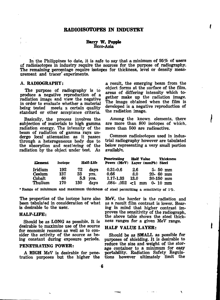#### **RADIOISOTOPES IN INDUSTRY**

#### **Barry W. Popple** Ecco-Asia

In the Philippines to date, it is safe to say that a minimum of 95% of users of radioisotopes in industry require the sources for the purpose of radiography. The remaining percentage require isotopes for thickness, level or density measurement and tracer'experiments.

#### A. **RADIOGRAPHY:**

The purpose of radiography is to produce a negative reproduction of a radiation image and view the negative in order to evaluate whether a material being tested meets a certain quality standard or other acceptance criteria.

Basically, the process involves the subjection of materials to high gamma radiation energy. The intensity of the beam of radiation of gamma rays undergo local attenuation as it passes through a heterogeneous body due to the absorption and scattering of the radiation by the object under test. As a result, the emerging beam from the object forms at the surface of the film, areas of differing intensity which together make up the radiation image. The image obtained when the film is developed is a negative reproduction of the radiation image.

I

Among the known elements, there are more than 800 isotopes of which, more than 500 are radioactive.

Common radioisotopes used in industrial radiography however are tabulated below representing a very small portion available.

| Element                     | Isotope          | <b>Half-Life</b>                        | <b>Penetrating</b><br>Power (MeV) | <b>Half Value</b><br>Layer (mmPb) Steel | <b>Thickness</b>                             |
|-----------------------------|------------------|-----------------------------------------|-----------------------------------|-----------------------------------------|----------------------------------------------|
| Iridium<br>Cesium<br>Cobalt | 192<br>137<br>60 | 72<br>days<br>33<br>vrs.<br>5.3<br>vrs. | $0.31 - 0.6$<br>0.66<br>1.17-1.33 | 2.6<br>8.0<br>13.0                      | $5 - 50$ mm<br>$20 - 60$ mm<br>$30 - 150$ mm |
| Thulium                     | 170              | 130<br>days                             | .084-.052                         | -1<br>mm                                | $0 - 10$ mm                                  |

**'Range of minimum and maximum thickness of steel permitting a sensitivity of 1%.**

The properties of the isotope have also been tabulated in consideration of what is desirable to the user,

#### **HALF-LIFE:**

Should be as LONG as possible. It is desirable to maximize use of the source for economic reasons as well as to consider the activity of the source as being constant during exposure periods.

#### PENETRATING POWER:

A HIGH MeV is desirable for penetration purposes but the higher the MeV, the harder is the radiation and as a result film contrast is lower. Bearing in mind that higher contrast improves the sensitivity of the radiograph, the above table shows the steel thickness ranges for a given MeV range.

#### HALF VALUE LAYER:

Should be as SMALL as possible for purposes of shielding. It is desirable to reduce the size and weight of the storage container to a minimum for easy portability. Radiation Safety Regulations however ultimately limit the

المناسب

 $\mathbf{r}$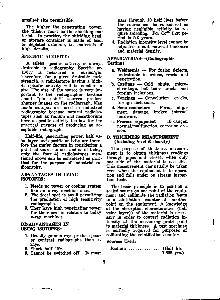#### smallest size permissible.

The higher the penetrating power, the thicker must be the shielding material. In practice, the shielding head, or storage container is made of lead, or depleted uranium, i.e. materials of high density.

#### SPECIFIC ACTIVITY:

 $\overline{1}$ 

A HIGH specific activity is always desirable in radiography. Specific acis measured in curies/gm. Therefore, for a given desirable curie strength, a radioisotope having a higher specific activity will be smaller in size. The size of the source is very important to the radiographer because<br>small "pin point" sources produce "pin point" sources produce sharper images on the radiograph. Man made isotopes are used in industrial radiography because natural radioisotopes such as radium and mesothorium have a specific activity too low for the practical purpose of producing an acceptable radiograph.

Half-life, penetrating power, half value layer and specific activity are therefore the major factors in considering a practical source to use, and as of today, only the four 4) radioisotopes mentioned above can be considered as practical for the purpose of industrial radiography.

#### ADVANTAGES IN USING **ISOTOPES:**

- 1. Needs no power *or* cooling system like an x-ray machine does.
- 2. The focal spot is small permitting the production of high sensitivity radiographs.
- 3. They have high penetrating power for their size in relation to bulky x-ray machines.

#### **DISADVANTAGES IN USING ISOTOPES:**

- **1.** Usually gamma rays produce poorer contrast radiographs than xrays.
- 2. Short half life.
- 3. Cannot be switched off. It must

pass through 10 half lives before the source can be considered as haying negligible activity to require shielding. For Co<sup>60</sup> that period is 5.3 years.

4. Radiation intensity level cannot be adjusted to suit material thickness and material density.

#### APPLICATIONS—(Radiographic Testing)

- a. Weldments For fusion defects, undesirable inclusions, cracks and penetration.
- b. Castings Cold shuts, microshrinkage, hot tears cracks and foreign inclusions.
- c. Forgings Convolution cracks, foreign inclusions.
- d. Semi-conductors Form, alignment, damage, broken internal hardware.
- e. Process equipment Blockages, normal/malfunction, corrosion erosion.

#### 6. THICKNESS MEASUREMENT (Including level & density)

The purpose of thickness measurement is to obtain thickness readings through pipes and vessels when only one side of the material is accesible. This measurement can' usually be taken even when the equipment is in operation and falls under on stream inspection tools.

The basic principle is to position a sealed source on one point of the equipment and collimate the radiation beam to a scintilation counter at another point on the equipment. A knowledge of the absorption characteristics (half value layer)) of the material is necessary in order to convert radiation intensity at the measuring probe point to material thickness. A test specimen is normally required for purposes of calibrating the scintillation counter.

#### Sources Used:

Radium .............. (Half life 1,622 yrs.)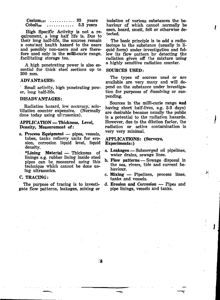$\text{Cesium}_{137}$  ........... 33 years<br>Cobalt<sub>eo</sub> ............ 5.3 years  $\ldots$  . . . . . . . . . . . 5.3 years

High Specific Activity is not a requirement, a long half life is. Due to their long half-life, the sources remain a constant health hazard to the users and possibly non-users and are therefore used only in the milli-curie range, facilitating storage too.

A high penetrating power is also essential for thick steel sections up to 200 mm.

#### ADVANTAGES:

1 Small activity, high penetrating power, long half-life.

#### DISADVANTAGES:

Radiation hazard, low accuracy, scintillation counter expensive. (Normally done today using ultrasonics).

#### APPLICATION —Thickness, Level, Density, Measurement of:

- a. Process Equipment pipes, vessels, tubes, tanks refinery units for erosion, corrosion liquid level, liquid density.
	- •Lining Material Thickness of linings e.g. rubber lining inside steel pipes can be, measured using this technique which cannot be done using ultrasonics.

#### C. TRACING:

The purpose of tracing is to investigate flow patterns, leakages, mixing or isolation of various substances the behaviour of which cannot normally be seen, heard, smelt, felt or otherwise detected.

I

The basic principle is to add a radioisotope to the substanee (usually in liquid form) under investigation and follow its flow pattern by detecting the radiation given off the mixture using a highly sensitive radiation counter.

#### SOURCES USED:

The types of sources used or are available are very many and will depend on the substance under investigation for purposes of dissolving or suspending.

Sources in the milli-curie range and having short half-lives, e.g. 2-3 days) are desirable because usually the public is a potential to the radiation hazards. However, due to the dilution factor, the radiation or active contamination is very very minimal.

#### APPLICATIONS: (Surveys, Experiments:)

- a. Leakages Submerged oil pipelines, water drains, sewage lines.
- b. Flow patterns Sewage disposal in the sea, rivers, tide and current behaviour.
- c. Mixing Pipelines, process lines, tanks and vessels.
- d. Erosion and Corrosion Pipes and pipe linings, vessels and tanks.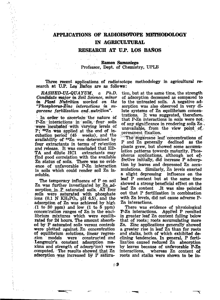## **APPLICATIONS OF RADIOISOTOPE METHODOLOGY IN AGRICULTURAL**

#### **RESEARCH AT U.P. LOS BANOS**

## Ramon Samaniego Professor, Dept. of Chemistry, UPLB

Three recent applications of radioisotope methodology in agricultural research at U.P. Los Baños are as follows:

*RASHED-UL-QUAYÜM, a Ph.D. Candidate major in Soil Science, minor in Plant Nutrition worked on the "Phosphorus-Zinc interactions in sugarcane fertilization and \ nutrition".*

 $\mathbf{r}$ 

In order to ascertain the nature of P-Zn interactions in soils, four soils were incubated with varying levels of  $P$ ;  $65Zn$  was applied at the end of incubation period  $(45$  weeks), and the availability of  $$^{65}$  $\rm{Zn}$  was determined by four extractants in terms of'retention and release. It was concluded that ED-<br>TA and dilute HC1 extractants may TA and dilute HC1 find good correlation with the available Zn status of soils. There was no evidence of unfavorable P-Zn interaction in soils which could render soil Zn insoluble.

The temporary influence of P on soil  $Zn$  was further investigated by  $Zn$  adsorption in  $P$  saturated soils. All four soils were saturated with phosphate ions  $(0.1 \text{ N } \text{KH}_{2}\text{PO}_{4}, \text{ pH } 6.5)$ , and the adsorption of Zn was achieved by high (1 to 30 ppm) and low (1 to 5 ppm) concentration ranges of Zn in the equilibrium mixtures which were equilibrated for 24 hours. The amount absorbed by P saturated soils versus, controls were plotted: against,;Zn concentration of equilibrium solutions, linear regression models were constructed and Langmuir's, constant adsorption maxima and strength of adsorption) were computed. The results showed, that Zn adsorption was increased by P satura-

tion, but at the same time, the strength of adsorption decseased as compared to to the untreated soils. A negative adsorption was also observed in very dilute systems of Zn equilibrium concentrations. It was suggested, therefore, that P-Zn interactions in soils were not of any significance in rendering soils  $\mathbb{Z}_n$ . unavailable, from the view point of*y* permanent fixation.

The sugarcane leaf concentrations of P and Zn generally declined as the plants grew, but showed some accumulation patterns towards maturity. Phosphorus applications, although not effective initially, did increase P adsorption by leaves and depressed Zn accumulations. Similarly, Zn levels exerted a slight depressing influence on the leaf P content but at the same time showed a strong beneficial effect on the leaf Zn content .It was also pointed out that P fertilization in combination with Zn levels, did not cause adverse P-Zn interactions.

There was evidence of physiological P-Zn interactions. Applied P resulted in greater leaf Zn content falling below that of roots; roots accumulating more Zn. Zinc applications generally showed a greater rise in leaf Zn than for roots and stalks, both of which exhibited declining tendencies. In general, P fertilization caused reduced Zn absorption by leaves because of unfavorable P-Zn<br>interactions, whereas Zn content of whereas Zn content of roots and stalks were shown to be in-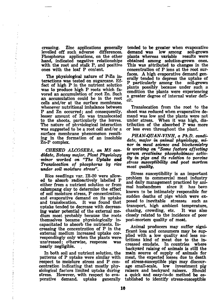creasing. Zinc applications generally levelled off such adverse differences. Phosphorus applications, on the other hand, indicated negative relationships with the root and stalk P, and positive ones with the leaf P content.

ä,

The physiological nature of P-Zn interactions was tested on sugarcane. Effect of high P in the nutrient solution was to produce high P roots which favored an accumulation of root Zn. Such an accumulation could be in the root cells and/or at the surface membrane, whenever nutritional imbalance between P and Zn occurred; and consequently, lesser amount of Zn was translocated tò the shoots, particularly the leaves. The nature of physiological interaction was suggested to be a root cell and/or a surface membrane phenomenon resulting in the formation of an insoluble Zn-P complex.

*CHESED ALCOSEBA, an* MS *candidate, Botany major, Plant Physiology minor worked on "The Uptake and Translocation of phosphorus by rice under soil moisture stress".*

Rice seedlings var. IR-20 were allowed to absorb radioactively labelled P either from a nutrient solution or from calumpang clay to determine the effect of soil moisture stress, P concentration, and evaporative demand on its uptake It was found that uptake tended to decrease with decreasing water potential of the external medium most probably because the roots themselves became physiologically incapacitated to absorb the nutrients. Increasing the concentration of P in the external medium increased uptake correspondingly only when the plants wereunstressed; otherwise, response was nearly negligible.

In both soil and nutrient solution, the patterns of P uptake were similar with respect to moisture stress and P concentration indicating that mostly physiological factors limited uptake during stress. However, with respect to evaporative demand, uptake generally tended to be greater when evaporative demand was low among soil-grown demand was low among soil-grown<br>plants whereas variable results were plants whereas variable obtained among solution-grown ones. This was attributed to changes in the concentration of P ions at the root surfaces. A high evaporative demand generally tended to depress the uptake of<br>P particularly among the soil-grown P particularly among the plants possibly because under such a condition the plants were experiencing a greater degree of internal water deficit.

Translocation from the root to the shoot was reduced when evaporative demand was low and the plants were not under stress. When it was high, distribution of the absorbed P was more or less even throughout the plant.

*PHAN-QVAN-VINH, a Ph.D. candidate, major in animal physiology, minor in meat science and biochemistry is working on "Some factors affecting serum creatinine pkosphokinase activity in pigs and its relation to porcine stress susceptibility and post mortem meat quality.*

Stress susceptibility is an important problem to commercial meat industry and daily management practiced by animal husbandmen known to be intimately responsible for sudden deaths of pigs which were exposed to inevitable stresses such as transport, high ambient temperature, chasing, crowding, etc. It was also closely related to the incidence of poor post-mortem quality of meat.

Animal producers may suffer significant loss and consumers may be supplied with a low quality and less nutritions kind of meat due to the increased exudate. In countries where backyard raising of animals is still the main source of supply of animals for meat, the expected losses due to death of stress-susceptible pigs may discourage small-scale, low investment pig raisers and backyard raisers. Should a quick and easy-to-do method be established to identify stress-susceptible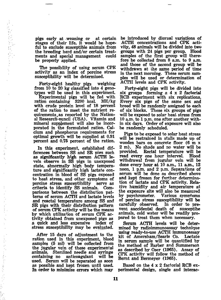pigs early at weaning or at certain stages of their life, it would be hopeful to exclude susceptible animals from the breeding herd and/or certain treatments and special management be properly applied.

计单位字母操作 计分析

The possibility of using serum CPK activity as an index of porcine stress susceptibility will be determined.

Forty-eight healthy pigs weighing from 10 to 20 kg classified into 4 genotypes will be used in this experiment.

Experimental pigs will be fed with ration containing 3200 kcal. ME/kg with crude protein level of 18 percent of the ration to meet the nutrient requirements as reported by the National Research-ouncil (USA). Vitamin and mineral supplement will also be incorporated in the formulated ration. Calcium and phosphorus requirements for optimal growth will be supplied at 0.91 percent and 0.75 percent of the ration.

In this experiment, established differences between SS and SR piers such as significantly high serum ACTH levels observe in SS pigs in unexposed state, abnormally high body temperature and significantly high lactate concentration in blood of SS pigs exposed to heat stress, and other symptoms of porcine stress susceptibility serve as criteria to identify SS animals. Comparisons between the distribution patterns of serum ACTH and lactate levels and reactal temperature among SS and SR pigs with their distribution pattern of serum CPK activity will be the means by which utilization of serum CPK activity obtained from unexposed pigs as a quick and less expensive index of stress susceptibility may be evaluated.

After 15 days of adjustment to the ration used in this experiment, blood samples (5 ml) will be collected from the jugular vein of these experimental animals. Sterilized needle and syringe anticoagulant used. Serum will be separated as soon as possible and kept frozen until used. In order to minimize errors which may

be introduced by diurnal variations of ACTH concentrations and CPK activity, 48 animals will be divided into two groups with 24 pigs per group. Blood samples of the first group will therefore be collected from 8 a.m. to 9 a.m. and those of the second group will be withdrawn at the same period of time in the next morning. These serum samples will be used or determination of ACTH levels and CPK activity.

Forty-eight pigs will be divided into six groups forming a 4 x 2 factorial RCB experiment with six replications. Every six pigs of the same sex and breed will be randomly assigned to each of six blocks. These six groups of pigs will be exposed to solar heat stress from 10 a.m. to 1 p.m. one after another within six days. Order of exposure will also be randomly scheduled.

Pigs to be exposed to solar heat stress will be restrained in stalls made up of wooden bars on concrete floor (6 m x 2 m). No shade and no water will be provided. Rectal temperature will be read every one hour interval. Blood withdrawal from jugular vein will be done every hour at 10 a.m., 11 a.m., 12 noon, 1 p.m. and 2 p.m. Separations of serum will be done as described above and kept frozen for further determination of lactate and CPK activity. Relative humidity and air temperature at the exposure site will also be measured by psychrometer. Various symptoms of porcine stress susceptibility will be carefully observed. In order to prevent aaccidental death of susceptibe animals, cold water will be readily prepared to treat them when necessary.

Serum ACTH levels will be determined by radioimmunoassay technique using ready-to-use ACTH immunoassay kit of Amersham/Searle Co. Lactate in serum sample will be quantified by the method of Barber and Summerson as described by Oser (1965). Assay of CPK activity will follow the method of Bernt and Bermeyer (1965).

Based on the 4x 2 factorial RCB experimental design, single and interac-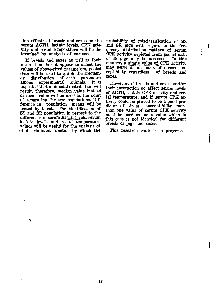tion effects of breeds and sexes on the serum ACTH, lactate levels, CPK activity and rectal temperature will be determined by analysis of variance.

and the

If breeds and sexes as well as their interaction do not appear to affect the values of above-cited parameters, pooled data will be used to graph the frequen-<br>cy distribution of each parameter cy distribution of each parameter<br>among experimental animals. It is experimental expected that a bimodal distribution will result, therefore, median value instead of mean value will be used as the point of separating the two populations. Difference in population means will be tested by t-test. The identification of SS and SR population in respect to the. differences in serum AQTH Jevels,\_serum lactate levels and rectal temperature values will be useful for the analysis of of discriminant function by which the

 $\mathcal{N}$ 

probability of misclassifieation of SS and SR pigs with regard to the frequency distribution pattern of serum <"!PK activity depicted from pooled data of 48 pigs may be assessed. In this manner, a single value of CPK activity may serve as an index of stress sus-<br>ceptibility regardless of breeds and ceptibility regardless sexes.

Į

However, if breeds and sexes and/or their interaction do affect serum levels of ACTH, lactate CPK activity and rectal temperature, and if serum CPK activity could be proved to be a good predictor of stress susceptibility, more than one value of serum CPK activity must be used as index value which in this case is not identical for different breeds of pigs and sexes.

This research work is in progress.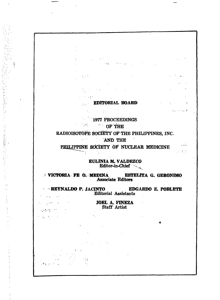# **EDITORIAL BOARD**

**SPECIAL SECTION** 

 $\mathcal{L}^{\text{max}}_{\text{max}}$  and  $\mathcal{L}^{\text{max}}_{\text{max}}$  and  $\mathcal{L}^{\text{max}}_{\text{max}}$ 

 $\sim$   $\sim$   $\sim$   $\sim$   $\sim$   $\sim$   $\sim$ 

 $\sim$  10  $\pm$ 

 $\sim 0.1$  .

 $\mathcal{L}_{\mathrm{L}}$  ,  $\mathcal{L}_{\mathrm{L}}$ 

 $\ddot{\phantom{1}}$ 

1977 PROCEEDINGS

**OF THE** 

RADIOISOTÒPE **SOCIETY** OF THE PHILIPPINES, INC.

**AND THE** 

PHILIPPINE SOCIETY OF NUCLEAR MEDICINE  $\mathcal{L}^{\text{max}}_{\text{max}}$ 

 $\mathbf{u} = \mathbf{u}$ 

**EULINIA M. VALDEZCO** Editor-in-Chief -

**VICTORIA FE O. MEDINA ESTEUTA G. GERONIMO Associate Editors**

**REYNALDO P. JACINTO EDGARDO E. POBLETE** Editorial Assistants  $\sim 10^{11}$ 

 $\mu$  or  $\sim 10$ (网络在一种)。 **JOEL A. FINEZA** Staff Artist

 $\mathcal{L} = \{ \mathcal{L} \}$  , where  $\mathcal{L}$ 

「この子供を好き」